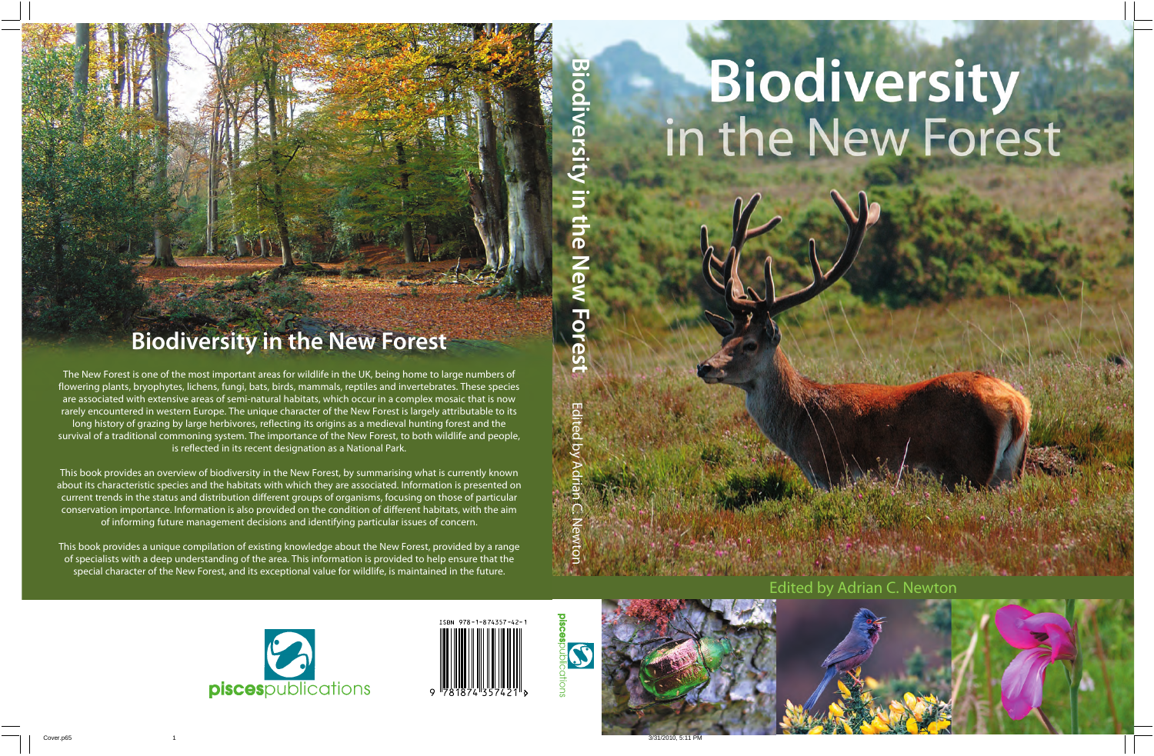# **Biodiversity**<br>in the New Forest

Edited by Adrian C. Newton





Villa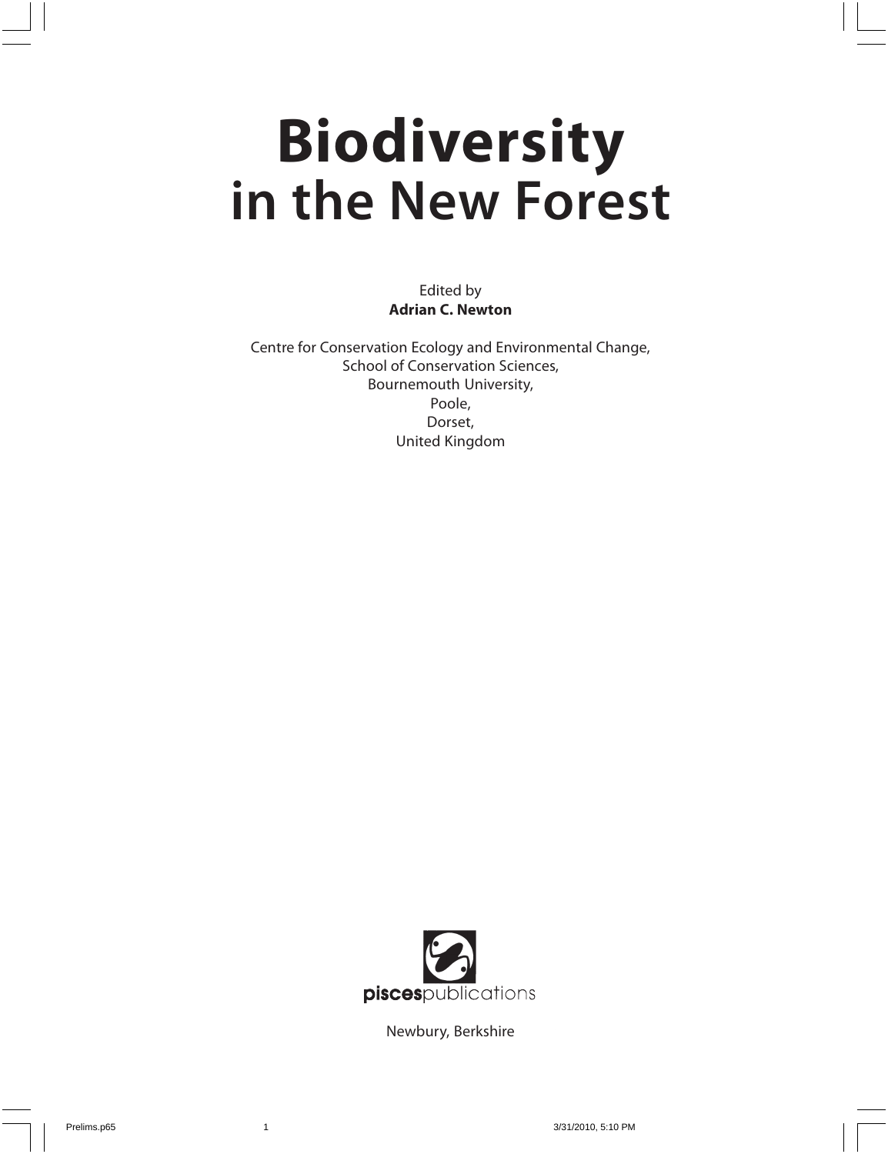# **Biodiversity in the New Forest**

Edited by **Adrian C. Newton**

Centre for Conservation Ecology and Environmental Change, School of Conservation Sciences, Bournemouth University, Poole, Dorset, United Kingdom



Newbury, Berkshire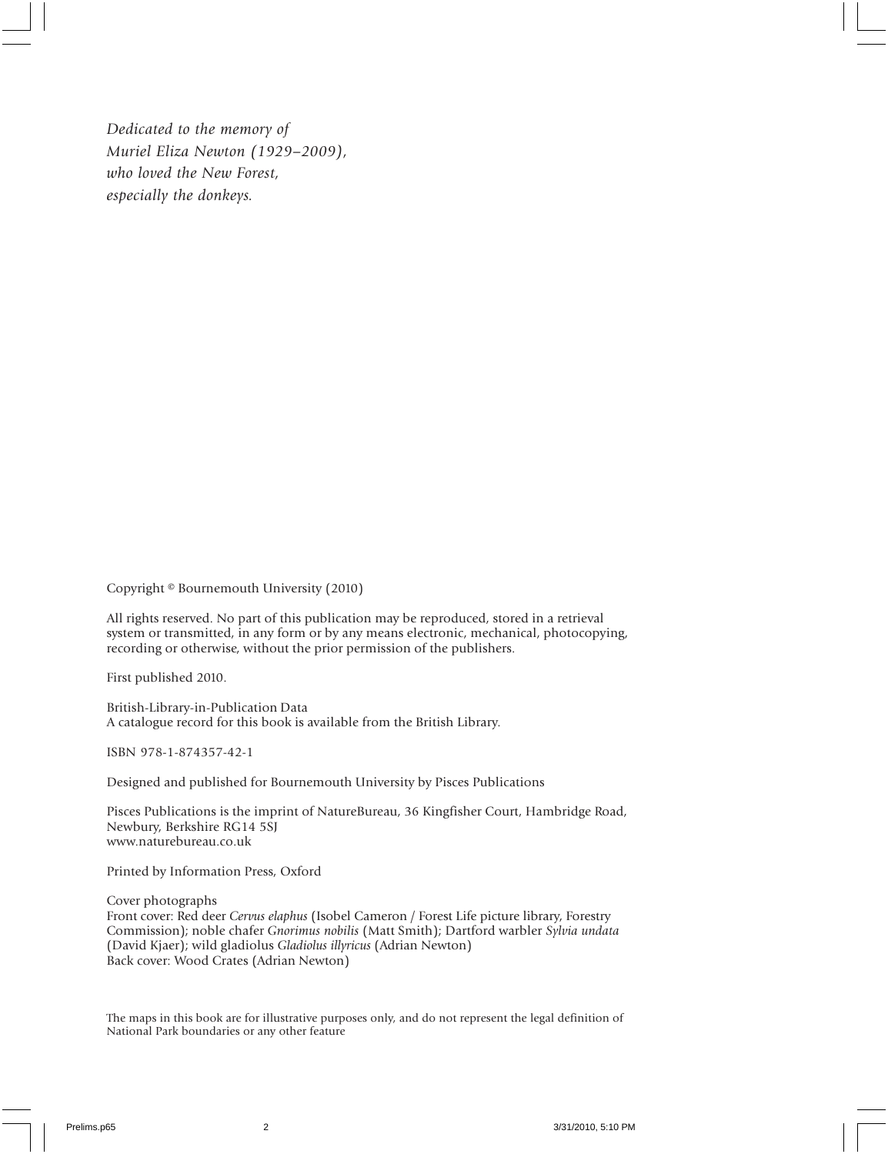*Dedicated to the memory of Muriel Eliza Newton (1929–2009), who loved the New Forest, especially the donkeys.*

Copyright © Bournemouth University (2010)

All rights reserved. No part of this publication may be reproduced, stored in a retrieval system or transmitted, in any form or by any means electronic, mechanical, photocopying, recording or otherwise, without the prior permission of the publishers.

First published 2010.

British-Library-in-Publication Data A catalogue record for this book is available from the British Library.

ISBN 978-1-874357-42-1

Designed and published for Bournemouth University by Pisces Publications

Pisces Publications is the imprint of NatureBureau, 36 Kingfisher Court, Hambridge Road, Newbury, Berkshire RG14 5SJ www.naturebureau.co.uk

Printed by Information Press, Oxford

Cover photographs Front cover: Red deer *Cervus elaphus* (Isobel Cameron / Forest Life picture library, Forestry Commission); noble chafer *Gnorimus nobilis* (Matt Smith); Dartford warbler *Sylvia undata* (David Kjaer); wild gladiolus *Gladiolus illyricus* (Adrian Newton) Back cover: Wood Crates (Adrian Newton)

The maps in this book are for illustrative purposes only, and do not represent the legal definition of National Park boundaries or any other feature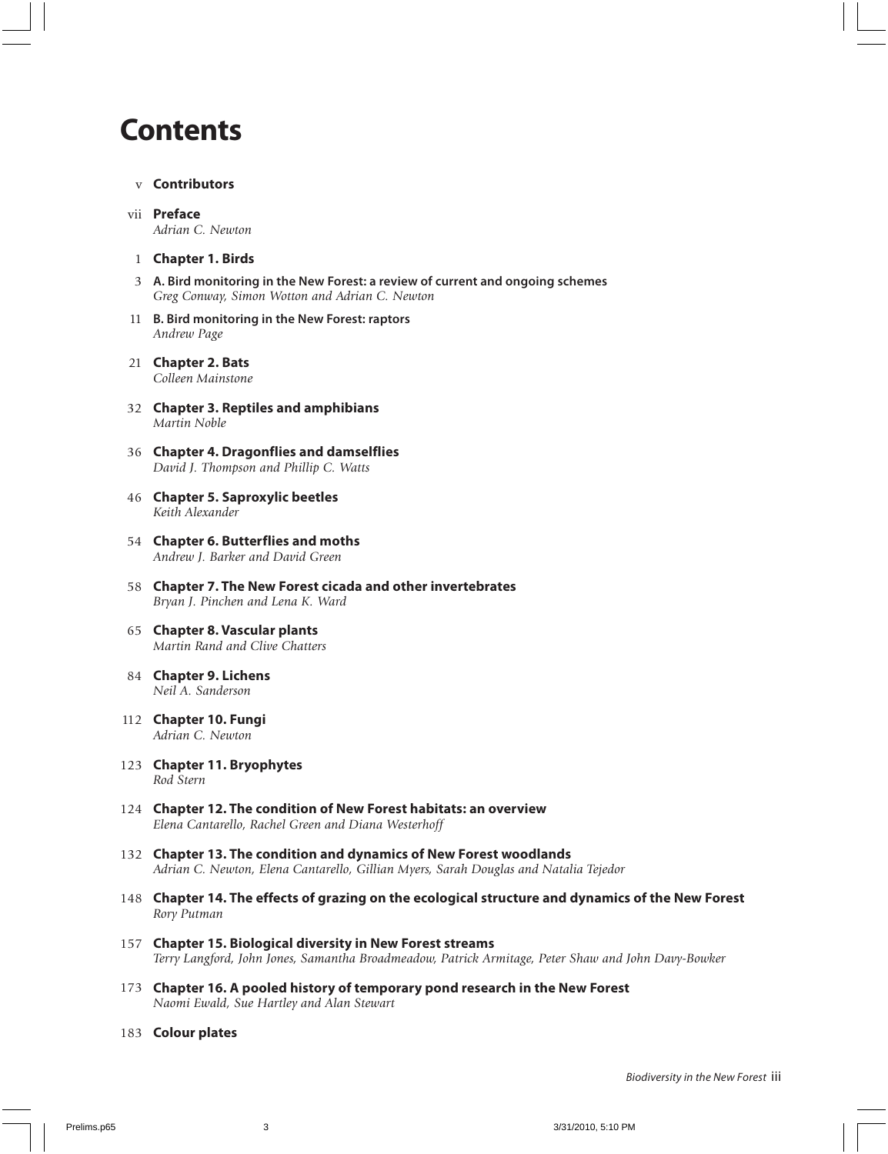### **Contents**

- v **Contributors**
- vii **Preface** *Adrian C. Newton*
- 1 **Chapter 1. Birds**
- 3 **A. Bird monitoring in the New Forest: a review of current and ongoing schemes** *Greg Conway, Simon Wotton and Adrian C. Newton*
- 11 **B. Bird monitoring in the New Forest: raptors** *Andrew Page*
- 21 **Chapter 2. Bats** *Colleen Mainstone*
- 32 **Chapter 3. Reptiles and amphibians** *Martin Noble*
- 36 **Chapter 4. Dragonflies and damselflies** *David J. Thompson and Phillip C. Watts*
- 46 **Chapter 5. Saproxylic beetles** *Keith Alexander*
- 54 **Chapter 6. Butterflies and moths** *Andrew J. Barker and David Green*
- 58 **Chapter 7. The New Forest cicada and other invertebrates** *Bryan J. Pinchen and Lena K. Ward*
- 65 **Chapter 8. Vascular plants** *Martin Rand and Clive Chatters*
- 84 **Chapter 9. Lichens** *Neil A. Sanderson*
- 112 **Chapter 10. Fungi** *Adrian C. Newton*
- 123 **Chapter 11. Bryophytes** *Rod Stern*
- 124 **Chapter 12. The condition of New Forest habitats: an overview** *Elena Cantarello, Rachel Green and Diana Westerhoff*
- 132 **Chapter 13. The condition and dynamics of New Forest woodlands** *Adrian C. Newton, Elena Cantarello, Gillian Myers, Sarah Douglas and Natalia Tejedor*
- 148 **Chapter 14. The effects of grazing on the ecological structure and dynamics of the New Forest** *Rory Putman*
- 157 **Chapter 15. Biological diversity in New Forest streams** *Terry Langford, John Jones, Samantha Broadmeadow, Patrick Armitage, Peter Shaw and John Davy-Bowker*
- 173 **Chapter 16. A pooled history of temporary pond research in the New Forest** *Naomi Ewald, Sue Hartley and Alan Stewart*
- 183 **Colour plates**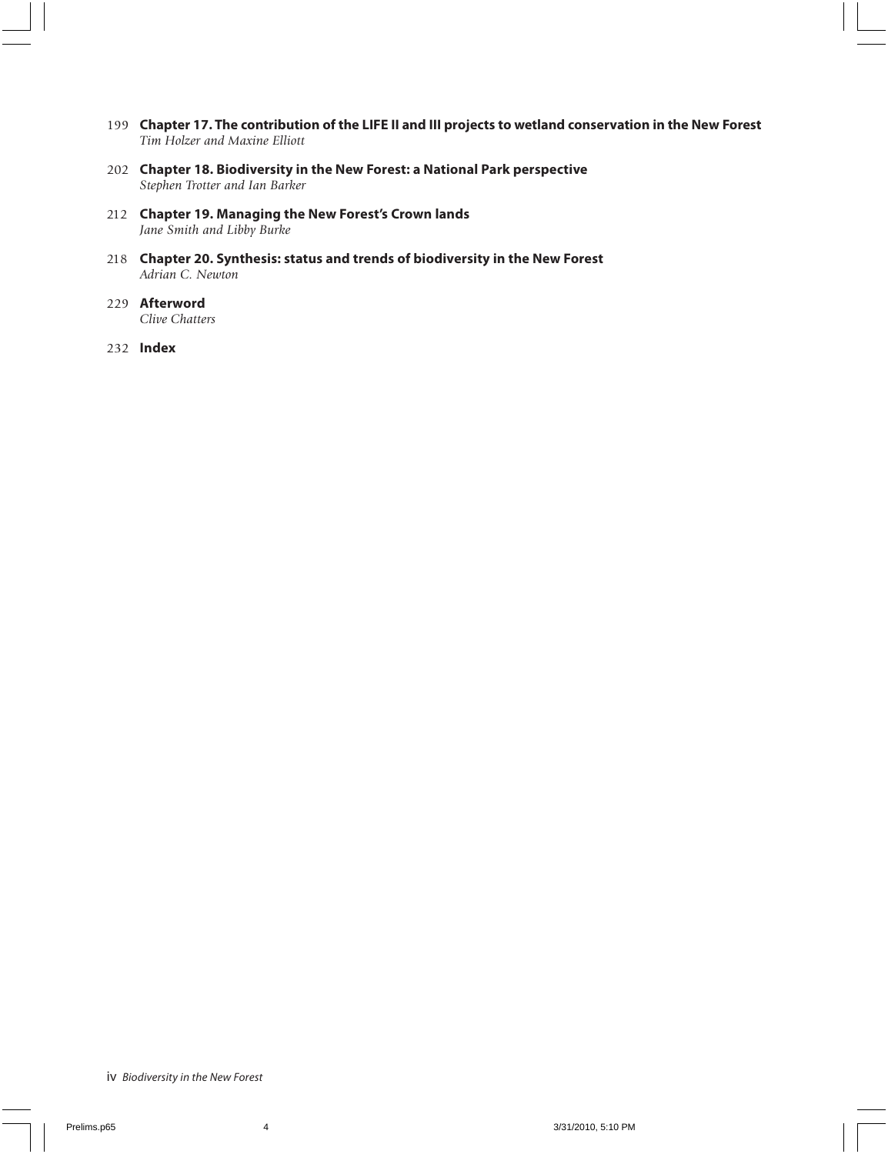- 199 **Chapter 17. The contribution of the LIFE II and III projects to wetland conservation in the New Forest** *Tim Holzer and Maxine Elliott*
- 202 **Chapter 18. Biodiversity in the New Forest: a National Park perspective** *Stephen Trotter and Ian Barker*
- 212 **Chapter 19. Managing the New Forest's Crown lands** *Jane Smith and Libby Burke*
- 218 **Chapter 20. Synthesis: status and trends of biodiversity in the New Forest** *Adrian C. Newton*
- 229 **Afterword** *Clive Chatters*
- 232 **Index**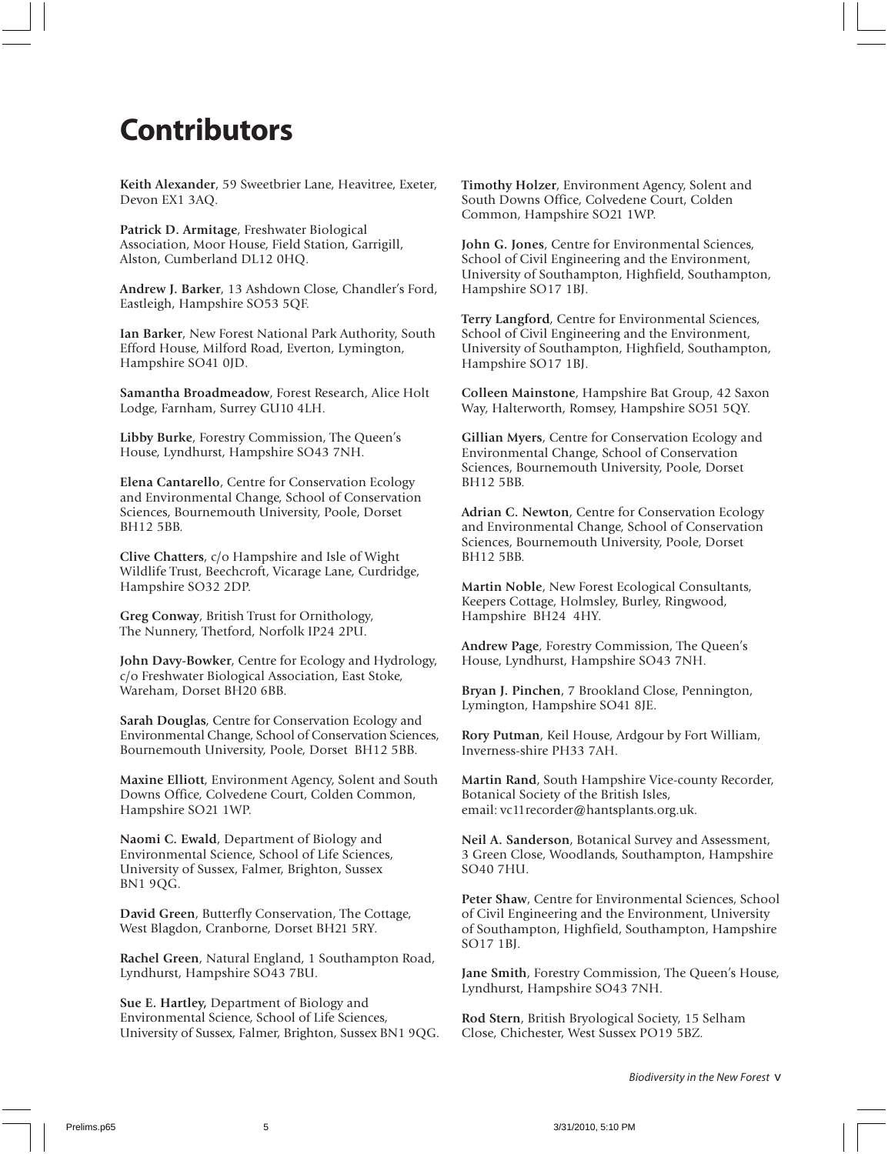## **Contributors**

**Keith Alexander**, 59 Sweetbrier Lane, Heavitree, Exeter, Devon EX1 3AQ.

**Patrick D. Armitage**, Freshwater Biological Association, Moor House, Field Station, Garrigill, Alston, Cumberland DL12 0HQ.

**Andrew J. Barker**, 13 Ashdown Close, Chandler's Ford, Eastleigh, Hampshire SO53 5QF.

**Ian Barker**, New Forest National Park Authority, South Efford House, Milford Road, Everton, Lymington, Hampshire SO41 0JD.

**Samantha Broadmeadow**, Forest Research, Alice Holt Lodge, Farnham, Surrey GU10 4LH.

**Libby Burke**, Forestry Commission, The Queen's House, Lyndhurst, Hampshire SO43 7NH.

**Elena Cantarello**, Centre for Conservation Ecology and Environmental Change, School of Conservation Sciences, Bournemouth University, Poole, Dorset BH12 5BB.

**Clive Chatters**, c/o Hampshire and Isle of Wight Wildlife Trust, Beechcroft, Vicarage Lane, Curdridge, Hampshire SO32 2DP.

**Greg Conway**, British Trust for Ornithology, The Nunnery, Thetford, Norfolk IP24 2PU.

**John Davy-Bowker**, Centre for Ecology and Hydrology, c/o Freshwater Biological Association, East Stoke, Wareham, Dorset BH20 6BB.

**Sarah Douglas**, Centre for Conservation Ecology and Environmental Change, School of Conservation Sciences, Bournemouth University, Poole, Dorset BH12 5BB.

**Maxine Elliott**, Environment Agency, Solent and South Downs Office, Colvedene Court, Colden Common, Hampshire SO21 1WP.

**Naomi C. Ewald**, Department of Biology and Environmental Science, School of Life Sciences, University of Sussex, Falmer, Brighton, Sussex BN1 9QG.

**David Green**, Butterfly Conservation, The Cottage, West Blagdon, Cranborne, Dorset BH21 5RY.

**Rachel Green**, Natural England, 1 Southampton Road, Lyndhurst, Hampshire SO43 7BU.

**Sue E. Hartley,** Department of Biology and Environmental Science, School of Life Sciences, University of Sussex, Falmer, Brighton, Sussex BN1 9QG. **Timothy Holzer**, Environment Agency, Solent and South Downs Office, Colvedene Court, Colden Common, Hampshire SO21 1WP.

**John G. Jones**, Centre for Environmental Sciences, School of Civil Engineering and the Environment, University of Southampton, Highfield, Southampton, Hampshire SO17 1BJ.

**Terry Langford**, Centre for Environmental Sciences, School of Civil Engineering and the Environment, University of Southampton, Highfield, Southampton, Hampshire SO17 1BJ.

**Colleen Mainstone**, Hampshire Bat Group, 42 Saxon Way, Halterworth, Romsey, Hampshire SO51 5QY.

**Gillian Myers**, Centre for Conservation Ecology and Environmental Change, School of Conservation Sciences, Bournemouth University, Poole, Dorset BH12 5BB.

**Adrian C. Newton**, Centre for Conservation Ecology and Environmental Change, School of Conservation Sciences, Bournemouth University, Poole, Dorset BH12 5BB.

**Martin Noble**, New Forest Ecological Consultants, Keepers Cottage, Holmsley, Burley, Ringwood, Hampshire BH24 4HY.

**Andrew Page**, Forestry Commission, The Queen's House, Lyndhurst, Hampshire SO43 7NH.

**Bryan J. Pinchen**, 7 Brookland Close, Pennington, Lymington, Hampshire SO41 8JE.

**Rory Putman**, Keil House, Ardgour by Fort William, Inverness-shire PH33 7AH.

**Martin Rand**, South Hampshire Vice-county Recorder, Botanical Society of the British Isles, email: vc11recorder@hantsplants.org.uk.

**Neil A. Sanderson**, Botanical Survey and Assessment, 3 Green Close, Woodlands, Southampton, Hampshire SO40 7HU.

**Peter Shaw**, Centre for Environmental Sciences, School of Civil Engineering and the Environment, University of Southampton, Highfield, Southampton, Hampshire SO17 1BJ.

**Jane Smith**, Forestry Commission, The Queen's House, Lyndhurst, Hampshire SO43 7NH.

**Rod Stern**, British Bryological Society, 15 Selham Close, Chichester, West Sussex PO19 5BZ.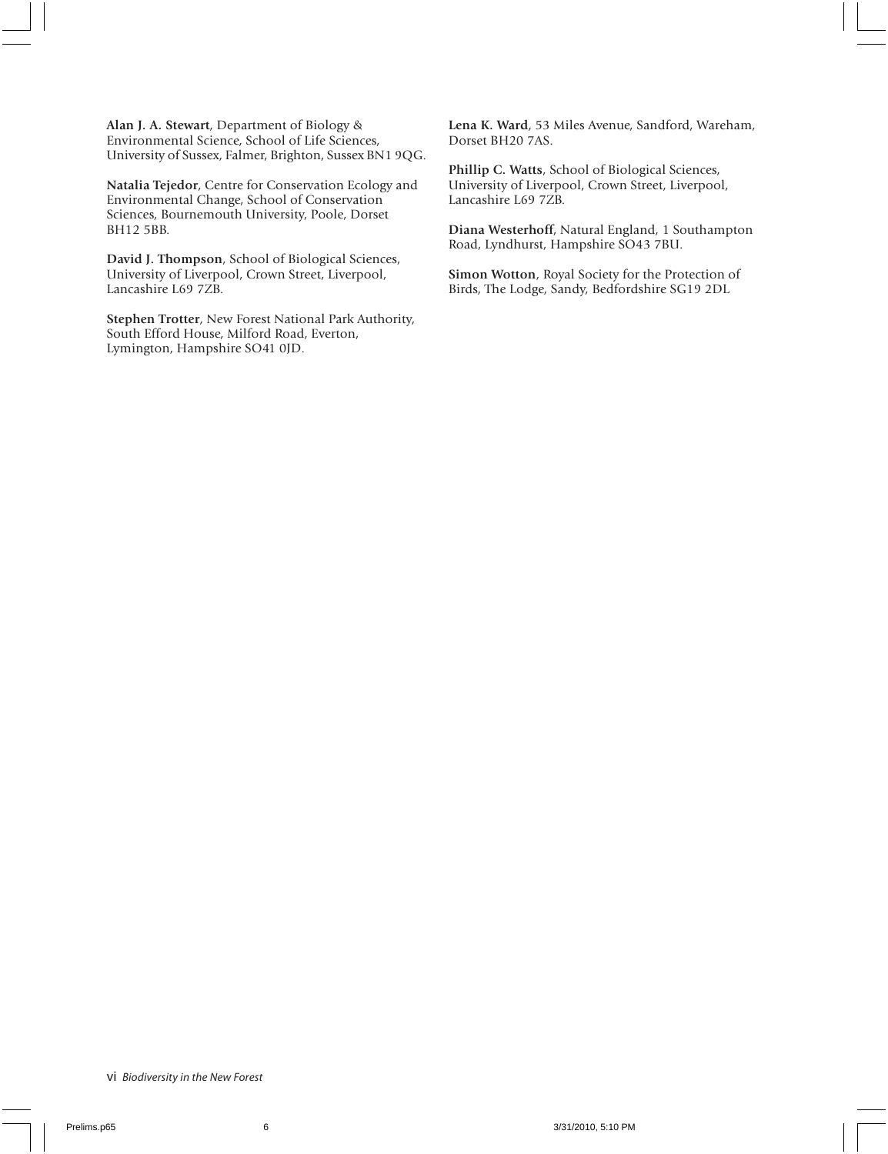**Alan J. A. Stewart**, Department of Biology & Environmental Science, School of Life Sciences, University of Sussex, Falmer, Brighton, Sussex BN1 9QG.

**Natalia Tejedor**, Centre for Conservation Ecology and Environmental Change, School of Conservation Sciences, Bournemouth University, Poole, Dorset BH12 5BB.

**David J. Thompson**, School of Biological Sciences, University of Liverpool, Crown Street, Liverpool, Lancashire L69 7ZB.

**Stephen Trotter**, New Forest National Park Authority, South Efford House, Milford Road, Everton, Lymington, Hampshire SO41 0JD.

**Lena K. Ward**, 53 Miles Avenue, Sandford, Wareham, Dorset BH20 7AS.

**Phillip C. Watts**, School of Biological Sciences, University of Liverpool, Crown Street, Liverpool, Lancashire L69 7ZB.

**Diana Westerhoff**, Natural England, 1 Southampton Road, Lyndhurst, Hampshire SO43 7BU.

**Simon Wotton**, Royal Society for the Protection of Birds, The Lodge, Sandy, Bedfordshire SG19 2DL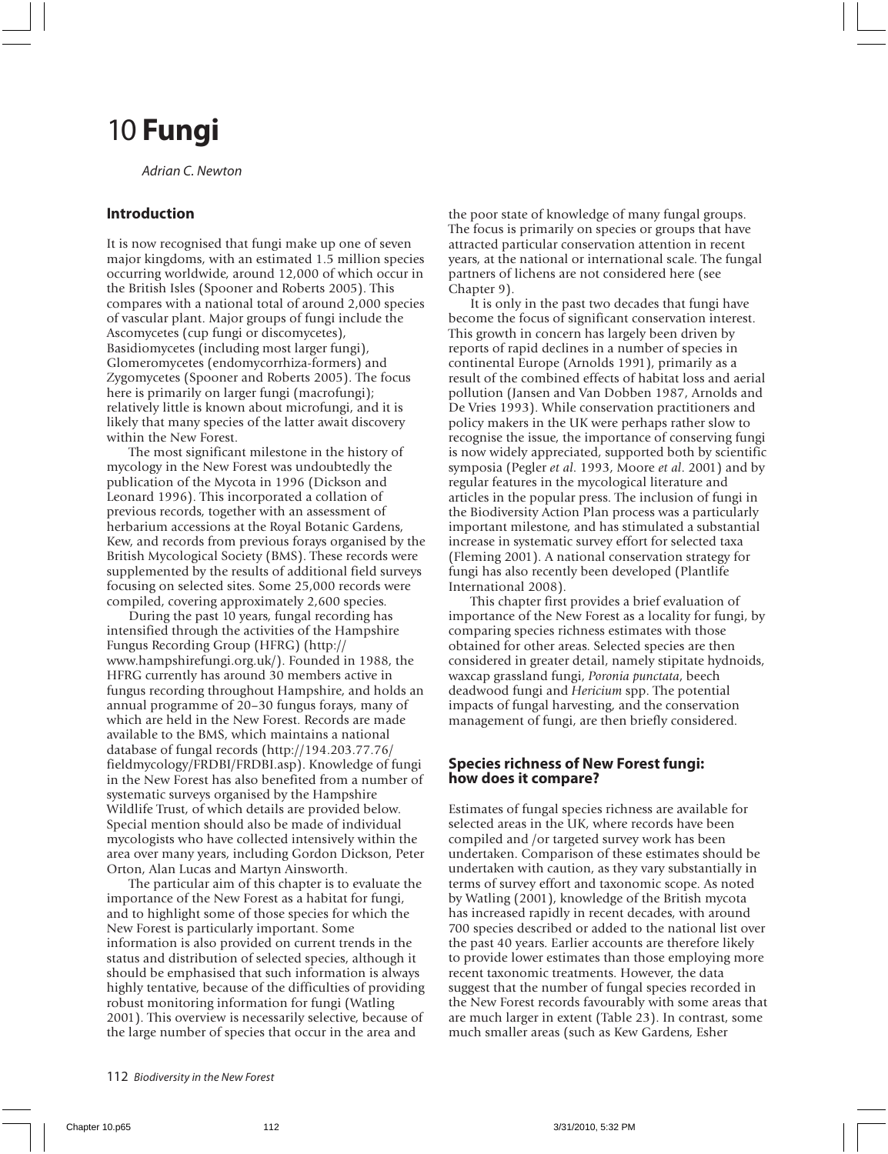# 10 **Fungi**

Adrian C. Newton

#### **Introduction**

It is now recognised that fungi make up one of seven major kingdoms, with an estimated 1.5 million species occurring worldwide, around 12,000 of which occur in the British Isles (Spooner and Roberts 2005). This compares with a national total of around 2,000 species of vascular plant. Major groups of fungi include the Ascomycetes (cup fungi or discomycetes), Basidiomycetes (including most larger fungi), Glomeromycetes (endomycorrhiza-formers) and Zygomycetes (Spooner and Roberts 2005). The focus here is primarily on larger fungi (macrofungi); relatively little is known about microfungi, and it is likely that many species of the latter await discovery within the New Forest.

The most significant milestone in the history of mycology in the New Forest was undoubtedly the publication of the Mycota in 1996 (Dickson and Leonard 1996). This incorporated a collation of previous records, together with an assessment of herbarium accessions at the Royal Botanic Gardens, Kew, and records from previous forays organised by the British Mycological Society (BMS). These records were supplemented by the results of additional field surveys focusing on selected sites. Some 25,000 records were compiled, covering approximately 2,600 species.

During the past 10 years, fungal recording has intensified through the activities of the Hampshire Fungus Recording Group (HFRG) (http:// www.hampshirefungi.org.uk/). Founded in 1988, the HFRG currently has around 30 members active in fungus recording throughout Hampshire, and holds an annual programme of 20–30 fungus forays, many of which are held in the New Forest. Records are made available to the BMS, which maintains a national database of fungal records (http://194.203.77.76/ fieldmycology/FRDBI/FRDBI.asp). Knowledge of fungi in the New Forest has also benefited from a number of systematic surveys organised by the Hampshire Wildlife Trust, of which details are provided below. Special mention should also be made of individual mycologists who have collected intensively within the area over many years, including Gordon Dickson, Peter Orton, Alan Lucas and Martyn Ainsworth.

The particular aim of this chapter is to evaluate the importance of the New Forest as a habitat for fungi, and to highlight some of those species for which the New Forest is particularly important. Some information is also provided on current trends in the status and distribution of selected species, although it should be emphasised that such information is always highly tentative, because of the difficulties of providing robust monitoring information for fungi (Watling 2001). This overview is necessarily selective, because of the large number of species that occur in the area and

the poor state of knowledge of many fungal groups. The focus is primarily on species or groups that have attracted particular conservation attention in recent years, at the national or international scale. The fungal partners of lichens are not considered here (see Chapter 9).

It is only in the past two decades that fungi have become the focus of significant conservation interest. This growth in concern has largely been driven by reports of rapid declines in a number of species in continental Europe (Arnolds 1991), primarily as a result of the combined effects of habitat loss and aerial pollution (Jansen and Van Dobben 1987, Arnolds and De Vries 1993). While conservation practitioners and policy makers in the UK were perhaps rather slow to recognise the issue, the importance of conserving fungi is now widely appreciated, supported both by scientific symposia (Pegler *et al*. 1993, Moore *et al*. 2001) and by regular features in the mycological literature and articles in the popular press. The inclusion of fungi in the Biodiversity Action Plan process was a particularly important milestone, and has stimulated a substantial increase in systematic survey effort for selected taxa (Fleming 2001). A national conservation strategy for fungi has also recently been developed (Plantlife International 2008).

This chapter first provides a brief evaluation of importance of the New Forest as a locality for fungi, by comparing species richness estimates with those obtained for other areas. Selected species are then considered in greater detail, namely stipitate hydnoids, waxcap grassland fungi, *Poronia punctata*, beech deadwood fungi and *Hericium* spp. The potential impacts of fungal harvesting, and the conservation management of fungi, are then briefly considered.

#### **Species richness of New Forest fungi: how does it compare?**

Estimates of fungal species richness are available for selected areas in the UK, where records have been compiled and /or targeted survey work has been undertaken. Comparison of these estimates should be undertaken with caution, as they vary substantially in terms of survey effort and taxonomic scope. As noted by Watling (2001), knowledge of the British mycota has increased rapidly in recent decades, with around 700 species described or added to the national list over the past 40 years. Earlier accounts are therefore likely to provide lower estimates than those employing more recent taxonomic treatments. However, the data suggest that the number of fungal species recorded in the New Forest records favourably with some areas that are much larger in extent (Table 23). In contrast, some much smaller areas (such as Kew Gardens, Esher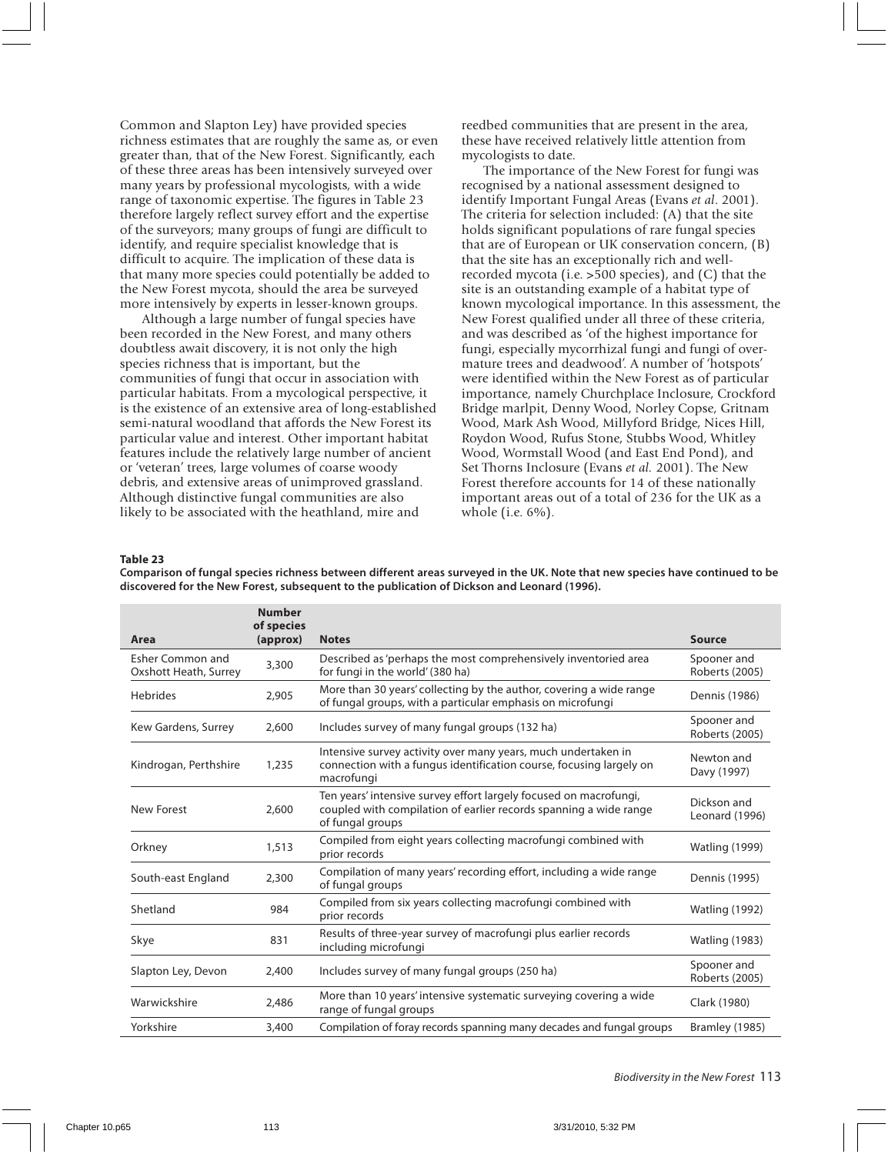Common and Slapton Ley) have provided species richness estimates that are roughly the same as, or even greater than, that of the New Forest. Significantly, each of these three areas has been intensively surveyed over many years by professional mycologists, with a wide range of taxonomic expertise. The figures in Table 23 therefore largely reflect survey effort and the expertise of the surveyors; many groups of fungi are difficult to identify, and require specialist knowledge that is difficult to acquire. The implication of these data is that many more species could potentially be added to the New Forest mycota, should the area be surveyed more intensively by experts in lesser-known groups.

Although a large number of fungal species have been recorded in the New Forest, and many others doubtless await discovery, it is not only the high species richness that is important, but the communities of fungi that occur in association with particular habitats. From a mycological perspective, it is the existence of an extensive area of long-established semi-natural woodland that affords the New Forest its particular value and interest. Other important habitat features include the relatively large number of ancient or 'veteran' trees, large volumes of coarse woody debris, and extensive areas of unimproved grassland. Although distinctive fungal communities are also likely to be associated with the heathland, mire and

reedbed communities that are present in the area, these have received relatively little attention from mycologists to date.

The importance of the New Forest for fungi was recognised by a national assessment designed to identify Important Fungal Areas (Evans *et al*. 2001). The criteria for selection included: (A) that the site holds significant populations of rare fungal species that are of European or UK conservation concern, (B) that the site has an exceptionally rich and wellrecorded mycota (i.e. >500 species), and (C) that the site is an outstanding example of a habitat type of known mycological importance. In this assessment, the New Forest qualified under all three of these criteria, and was described as 'of the highest importance for fungi, especially mycorrhizal fungi and fungi of overmature trees and deadwood'. A number of 'hotspots' were identified within the New Forest as of particular importance, namely Churchplace Inclosure, Crockford Bridge marlpit, Denny Wood, Norley Copse, Gritnam Wood, Mark Ash Wood, Millyford Bridge, Nices Hill, Roydon Wood, Rufus Stone, Stubbs Wood, Whitley Wood, Wormstall Wood (and East End Pond), and Set Thorns Inclosure (Evans *et al.* 2001). The New Forest therefore accounts for 14 of these nationally important areas out of a total of 236 for the UK as a whole (i.e. 6%).

#### **Table 23**

**Comparison of fungal species richness between different areas surveyed in the UK. Note that new species have continued to be discovered for the New Forest, subsequent to the publication of Dickson and Leonard (1996).**

| Area                                      | <b>Number</b><br>of species<br>(approx) | <b>Notes</b>                                                                                                                                               | Source                        |
|-------------------------------------------|-----------------------------------------|------------------------------------------------------------------------------------------------------------------------------------------------------------|-------------------------------|
| Esher Common and<br>Oxshott Heath, Surrey | 3,300                                   | Described as 'perhaps the most comprehensively inventoried area<br>for fungi in the world' (380 ha)                                                        | Spooner and<br>Roberts (2005) |
| <b>Hebrides</b>                           | 2.905                                   | More than 30 years' collecting by the author, covering a wide range<br>of fungal groups, with a particular emphasis on microfungi                          | Dennis (1986)                 |
| Kew Gardens, Surrey                       | 2,600                                   | Includes survey of many fungal groups (132 ha)                                                                                                             | Spooner and<br>Roberts (2005) |
| Kindrogan, Perthshire                     | 1,235                                   | Intensive survey activity over many years, much undertaken in<br>connection with a fungus identification course, focusing largely on<br>macrofungi         | Newton and<br>Davy (1997)     |
| New Forest                                | 2,600                                   | Ten years' intensive survey effort largely focused on macrofungi,<br>coupled with compilation of earlier records spanning a wide range<br>of fungal groups | Dickson and<br>Leonard (1996) |
| Orkney                                    | 1,513                                   | Compiled from eight years collecting macrofungi combined with<br>prior records                                                                             | <b>Watling (1999)</b>         |
| South-east England                        | 2,300                                   | Compilation of many years' recording effort, including a wide range<br>of fungal groups                                                                    | Dennis (1995)                 |
| Shetland                                  | 984                                     | Compiled from six years collecting macrofungi combined with<br>prior records                                                                               | <b>Watling (1992)</b>         |
| Skye                                      | 831                                     | Results of three-year survey of macrofungi plus earlier records<br>including microfungi                                                                    | <b>Watling (1983)</b>         |
| Slapton Ley, Devon                        | 2,400                                   | Includes survey of many fungal groups (250 ha)                                                                                                             | Spooner and<br>Roberts (2005) |
| Warwickshire                              | 2.486                                   | More than 10 years' intensive systematic surveying covering a wide<br>range of fungal groups                                                               | Clark (1980)                  |
| Yorkshire                                 | 3,400                                   | Compilation of foray records spanning many decades and fungal groups                                                                                       | Bramley (1985)                |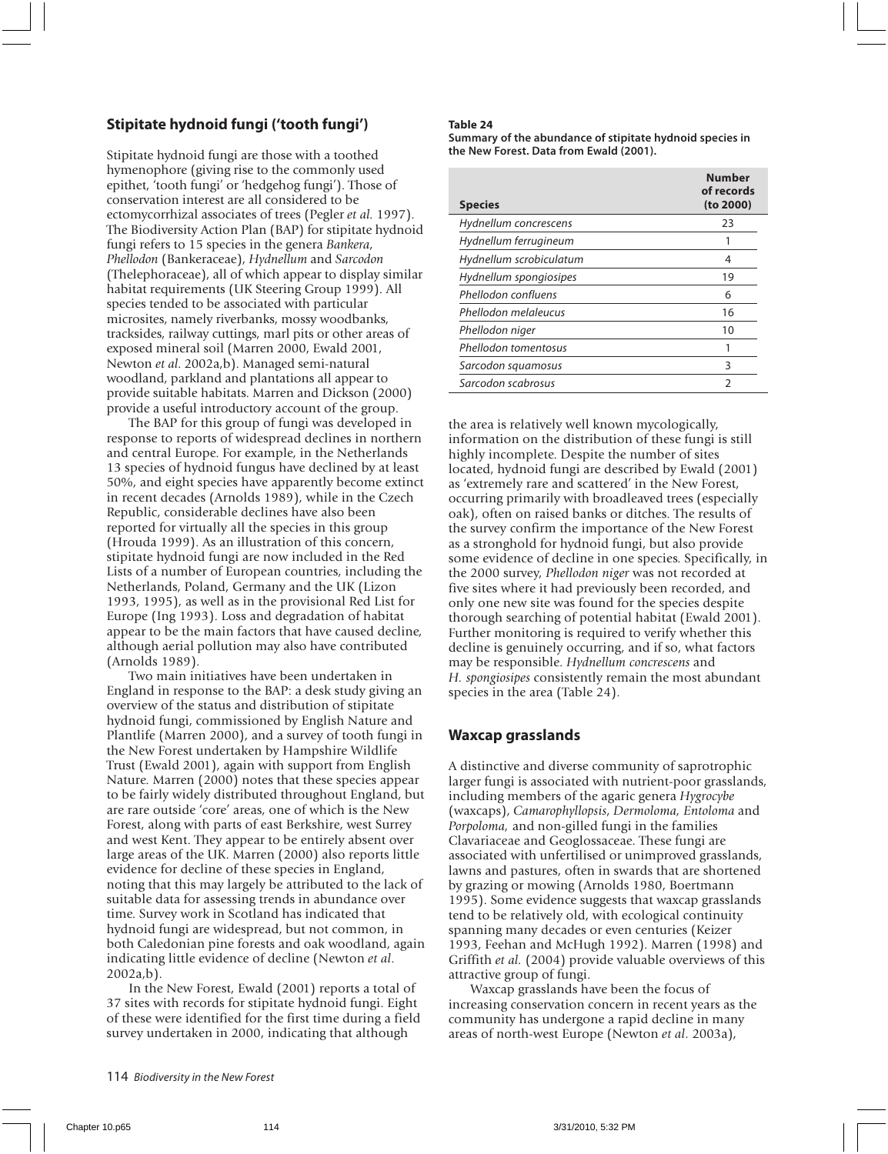#### **Stipitate hydnoid fungi ('tooth fungi')**

Stipitate hydnoid fungi are those with a toothed hymenophore (giving rise to the commonly used epithet, 'tooth fungi' or 'hedgehog fungi'). Those of conservation interest are all considered to be ectomycorrhizal associates of trees (Pegler *et al.* 1997). The Biodiversity Action Plan (BAP) for stipitate hydnoid fungi refers to 15 species in the genera *Bankera*, *Phellodon* (Bankeraceae), *Hydnellum* and *Sarcodon* (Thelephoraceae), all of which appear to display similar habitat requirements (UK Steering Group 1999). All species tended to be associated with particular microsites, namely riverbanks, mossy woodbanks, tracksides, railway cuttings, marl pits or other areas of exposed mineral soil (Marren 2000, Ewald 2001, Newton *et al*. 2002a,b). Managed semi-natural woodland, parkland and plantations all appear to provide suitable habitats. Marren and Dickson (2000) provide a useful introductory account of the group.

The BAP for this group of fungi was developed in response to reports of widespread declines in northern and central Europe. For example, in the Netherlands 13 species of hydnoid fungus have declined by at least 50%, and eight species have apparently become extinct in recent decades (Arnolds 1989), while in the Czech Republic, considerable declines have also been reported for virtually all the species in this group (Hrouda 1999). As an illustration of this concern, stipitate hydnoid fungi are now included in the Red Lists of a number of European countries, including the Netherlands, Poland, Germany and the UK (Lizon 1993, 1995), as well as in the provisional Red List for Europe (Ing 1993). Loss and degradation of habitat appear to be the main factors that have caused decline, although aerial pollution may also have contributed (Arnolds 1989).

Two main initiatives have been undertaken in England in response to the BAP: a desk study giving an overview of the status and distribution of stipitate hydnoid fungi, commissioned by English Nature and Plantlife (Marren 2000), and a survey of tooth fungi in the New Forest undertaken by Hampshire Wildlife Trust (Ewald 2001), again with support from English Nature. Marren (2000) notes that these species appear to be fairly widely distributed throughout England, but are rare outside 'core' areas, one of which is the New Forest, along with parts of east Berkshire, west Surrey and west Kent. They appear to be entirely absent over large areas of the UK. Marren (2000) also reports little evidence for decline of these species in England, noting that this may largely be attributed to the lack of suitable data for assessing trends in abundance over time. Survey work in Scotland has indicated that hydnoid fungi are widespread, but not common, in both Caledonian pine forests and oak woodland, again indicating little evidence of decline (Newton *et al*. 2002a,b).

In the New Forest, Ewald (2001) reports a total of 37 sites with records for stipitate hydnoid fungi. Eight of these were identified for the first time during a field survey undertaken in 2000, indicating that although

#### **Table 24**

**Summary of the abundance of stipitate hydnoid species in the New Forest. Data from Ewald (2001).**

| <b>Species</b>          | <b>Number</b><br>of records<br>(to 2000) |
|-------------------------|------------------------------------------|
| Hydnellum concrescens   | 23                                       |
| Hydnellum ferrugineum   |                                          |
| Hydnellum scrobiculatum | 4                                        |
| Hydnellum spongiosipes  | 19                                       |
| Phellodon confluens     | 6                                        |
| Phellodon melaleucus    | 16                                       |
| Phellodon niger         | 10                                       |
| Phellodon tomentosus    |                                          |
| Sarcodon squamosus      | 3                                        |
| Sarcodon scabrosus      | 2                                        |

the area is relatively well known mycologically, information on the distribution of these fungi is still highly incomplete. Despite the number of sites located, hydnoid fungi are described by Ewald (2001) as 'extremely rare and scattered' in the New Forest, occurring primarily with broadleaved trees (especially oak), often on raised banks or ditches. The results of the survey confirm the importance of the New Forest as a stronghold for hydnoid fungi, but also provide some evidence of decline in one species. Specifically, in the 2000 survey, *Phellodon niger* was not recorded at five sites where it had previously been recorded, and only one new site was found for the species despite thorough searching of potential habitat (Ewald 2001). Further monitoring is required to verify whether this decline is genuinely occurring, and if so, what factors may be responsible. *Hydnellum concrescens* and *H. spongiosipes* consistently remain the most abundant species in the area (Table 24).

#### **Waxcap grasslands**

A distinctive and diverse community of saprotrophic larger fungi is associated with nutrient-poor grasslands, including members of the agaric genera *Hygrocybe* (waxcaps), *Camarophyllopsis*, *Dermoloma, Entoloma* and *Porpoloma,* and non-gilled fungi in the families Clavariaceae and Geoglossaceae. These fungi are associated with unfertilised or unimproved grasslands, lawns and pastures, often in swards that are shortened by grazing or mowing (Arnolds 1980, Boertmann 1995). Some evidence suggests that waxcap grasslands tend to be relatively old, with ecological continuity spanning many decades or even centuries (Keizer 1993, Feehan and McHugh 1992). Marren (1998) and Griffith *et al.* (2004) provide valuable overviews of this attractive group of fungi.

Waxcap grasslands have been the focus of increasing conservation concern in recent years as the community has undergone a rapid decline in many areas of north-west Europe (Newton *et al*. 2003a),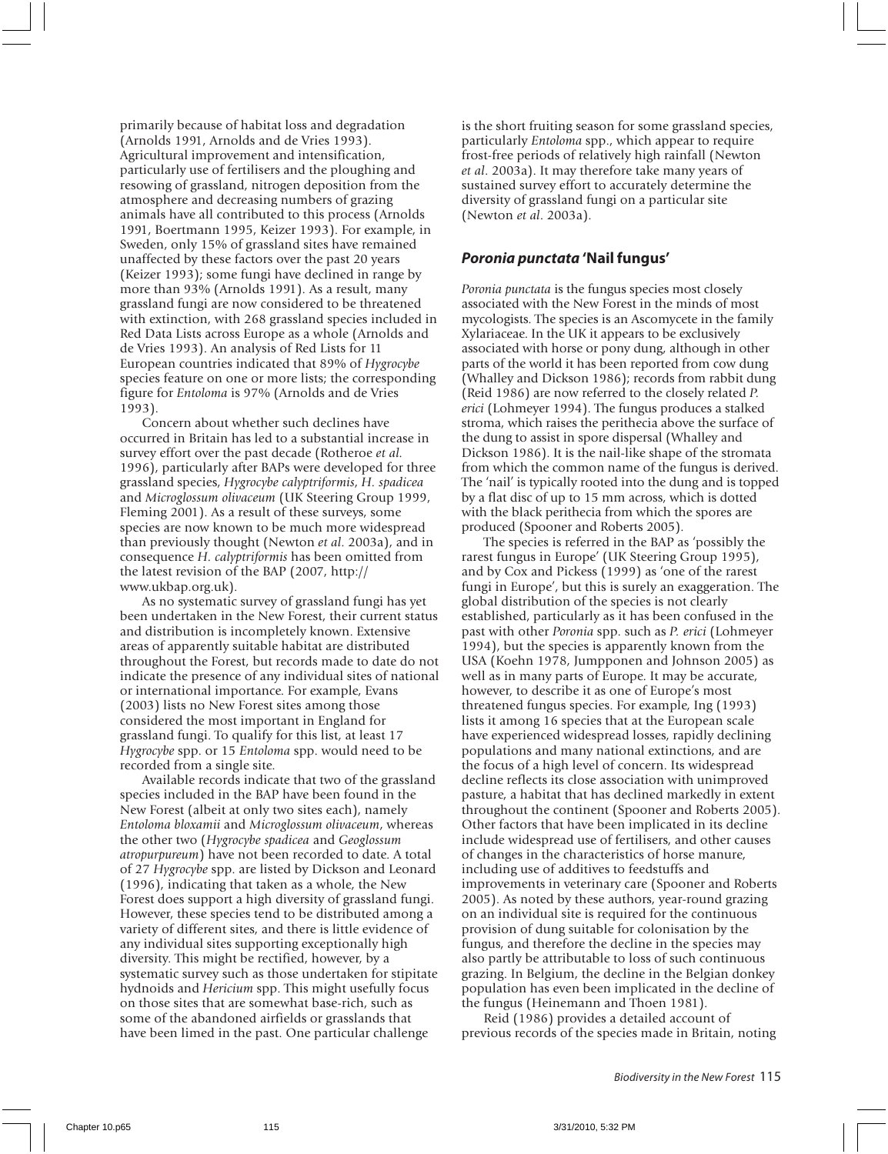primarily because of habitat loss and degradation (Arnolds 1991, Arnolds and de Vries 1993). Agricultural improvement and intensification, particularly use of fertilisers and the ploughing and resowing of grassland, nitrogen deposition from the atmosphere and decreasing numbers of grazing animals have all contributed to this process (Arnolds 1991, Boertmann 1995, Keizer 1993). For example, in Sweden, only 15% of grassland sites have remained unaffected by these factors over the past 20 years (Keizer 1993); some fungi have declined in range by more than 93% (Arnolds 1991). As a result, many grassland fungi are now considered to be threatened with extinction, with 268 grassland species included in Red Data Lists across Europe as a whole (Arnolds and de Vries 1993). An analysis of Red Lists for 11 European countries indicated that 89% of *Hygrocybe* species feature on one or more lists; the corresponding figure for *Entoloma* is 97% (Arnolds and de Vries 1993).

Concern about whether such declines have occurred in Britain has led to a substantial increase in survey effort over the past decade (Rotheroe *et al.* 1996), particularly after BAPs were developed for three grassland species, *Hygrocybe calyptriformis*, *H. spadicea* and *Microglossum olivaceum* (UK Steering Group 1999, Fleming 2001). As a result of these surveys, some species are now known to be much more widespread than previously thought (Newton *et al*. 2003a), and in consequence *H. calyptriformis* has been omitted from the latest revision of the BAP (2007, http:// www.ukbap.org.uk).

As no systematic survey of grassland fungi has yet been undertaken in the New Forest, their current status and distribution is incompletely known. Extensive areas of apparently suitable habitat are distributed throughout the Forest, but records made to date do not indicate the presence of any individual sites of national or international importance. For example, Evans (2003) lists no New Forest sites among those considered the most important in England for grassland fungi. To qualify for this list, at least 17 *Hygrocybe* spp. or 15 *Entoloma* spp. would need to be recorded from a single site.

Available records indicate that two of the grassland species included in the BAP have been found in the New Forest (albeit at only two sites each), namely *Entoloma bloxamii* and *Microglossum olivaceum*, whereas the other two (*Hygrocybe spadicea* and *Geoglossum atropurpureum*) have not been recorded to date. A total of 27 *Hygrocybe* spp. are listed by Dickson and Leonard (1996), indicating that taken as a whole, the New Forest does support a high diversity of grassland fungi. However, these species tend to be distributed among a variety of different sites, and there is little evidence of any individual sites supporting exceptionally high diversity. This might be rectified, however, by a systematic survey such as those undertaken for stipitate hydnoids and *Hericium* spp. This might usefully focus on those sites that are somewhat base-rich, such as some of the abandoned airfields or grasslands that have been limed in the past. One particular challenge

is the short fruiting season for some grassland species, particularly *Entoloma* spp., which appear to require frost-free periods of relatively high rainfall (Newton *et al*. 2003a). It may therefore take many years of sustained survey effort to accurately determine the diversity of grassland fungi on a particular site (Newton *et al*. 2003a).

#### **Poronia punctata 'Nail fungus'**

*Poronia punctata* is the fungus species most closely associated with the New Forest in the minds of most mycologists. The species is an Ascomycete in the family Xylariaceae. In the UK it appears to be exclusively associated with horse or pony dung, although in other parts of the world it has been reported from cow dung (Whalley and Dickson 1986); records from rabbit dung (Reid 1986) are now referred to the closely related *P. erici* (Lohmeyer 1994). The fungus produces a stalked stroma, which raises the perithecia above the surface of the dung to assist in spore dispersal (Whalley and Dickson 1986). It is the nail-like shape of the stromata from which the common name of the fungus is derived. The 'nail' is typically rooted into the dung and is topped by a flat disc of up to 15 mm across, which is dotted with the black perithecia from which the spores are produced (Spooner and Roberts 2005).

The species is referred in the BAP as 'possibly the rarest fungus in Europe' (UK Steering Group 1995), and by Cox and Pickess (1999) as 'one of the rarest fungi in Europe', but this is surely an exaggeration. The global distribution of the species is not clearly established, particularly as it has been confused in the past with other *Poronia* spp. such as *P. erici* (Lohmeyer 1994), but the species is apparently known from the USA (Koehn 1978, Jumpponen and Johnson 2005) as well as in many parts of Europe. It may be accurate, however, to describe it as one of Europe's most threatened fungus species. For example, Ing (1993) lists it among 16 species that at the European scale have experienced widespread losses, rapidly declining populations and many national extinctions, and are the focus of a high level of concern. Its widespread decline reflects its close association with unimproved pasture, a habitat that has declined markedly in extent throughout the continent (Spooner and Roberts 2005). Other factors that have been implicated in its decline include widespread use of fertilisers, and other causes of changes in the characteristics of horse manure, including use of additives to feedstuffs and improvements in veterinary care (Spooner and Roberts 2005). As noted by these authors, year-round grazing on an individual site is required for the continuous provision of dung suitable for colonisation by the fungus, and therefore the decline in the species may also partly be attributable to loss of such continuous grazing. In Belgium, the decline in the Belgian donkey population has even been implicated in the decline of the fungus (Heinemann and Thoen 1981).

Reid (1986) provides a detailed account of previous records of the species made in Britain, noting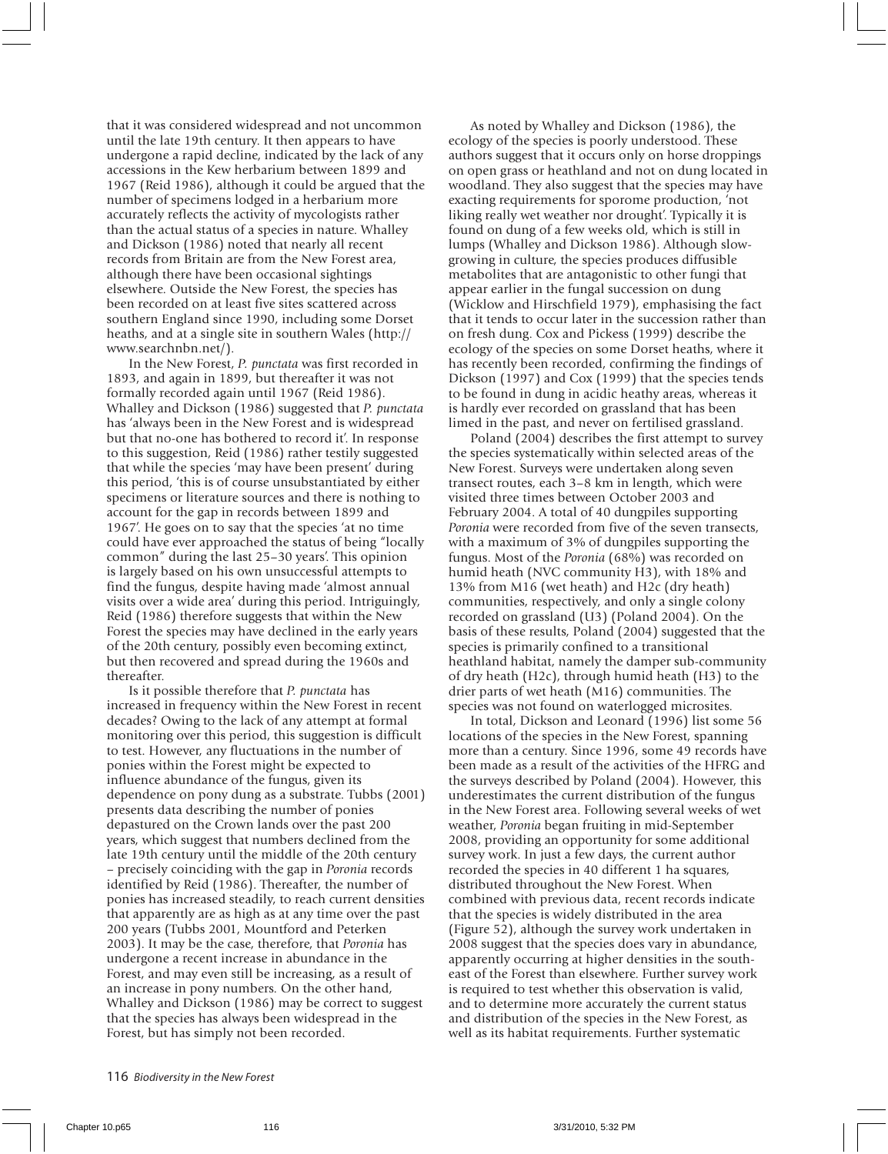that it was considered widespread and not uncommon until the late 19th century. It then appears to have undergone a rapid decline, indicated by the lack of any accessions in the Kew herbarium between 1899 and 1967 (Reid 1986), although it could be argued that the number of specimens lodged in a herbarium more accurately reflects the activity of mycologists rather than the actual status of a species in nature. Whalley and Dickson (1986) noted that nearly all recent records from Britain are from the New Forest area, although there have been occasional sightings elsewhere. Outside the New Forest, the species has been recorded on at least five sites scattered across southern England since 1990, including some Dorset heaths, and at a single site in southern Wales (http:// www.searchnbn.net/).

In the New Forest, *P. punctata* was first recorded in 1893, and again in 1899, but thereafter it was not formally recorded again until 1967 (Reid 1986). Whalley and Dickson (1986) suggested that *P. punctata* has 'always been in the New Forest and is widespread but that no-one has bothered to record it'. In response to this suggestion, Reid (1986) rather testily suggested that while the species 'may have been present' during this period, 'this is of course unsubstantiated by either specimens or literature sources and there is nothing to account for the gap in records between 1899 and 1967'. He goes on to say that the species 'at no time could have ever approached the status of being "locally common" during the last 25–30 years'. This opinion is largely based on his own unsuccessful attempts to find the fungus, despite having made 'almost annual visits over a wide area' during this period. Intriguingly, Reid (1986) therefore suggests that within the New Forest the species may have declined in the early years of the 20th century, possibly even becoming extinct, but then recovered and spread during the 1960s and thereafter.

Is it possible therefore that *P. punctata* has increased in frequency within the New Forest in recent decades? Owing to the lack of any attempt at formal monitoring over this period, this suggestion is difficult to test. However, any fluctuations in the number of ponies within the Forest might be expected to influence abundance of the fungus, given its dependence on pony dung as a substrate. Tubbs (2001) presents data describing the number of ponies depastured on the Crown lands over the past 200 years, which suggest that numbers declined from the late 19th century until the middle of the 20th century – precisely coinciding with the gap in *Poronia* records identified by Reid (1986). Thereafter, the number of ponies has increased steadily, to reach current densities that apparently are as high as at any time over the past 200 years (Tubbs 2001, Mountford and Peterken 2003). It may be the case, therefore, that *Poronia* has undergone a recent increase in abundance in the Forest, and may even still be increasing, as a result of an increase in pony numbers. On the other hand, Whalley and Dickson (1986) may be correct to suggest that the species has always been widespread in the Forest, but has simply not been recorded.

As noted by Whalley and Dickson (1986), the ecology of the species is poorly understood. These authors suggest that it occurs only on horse droppings on open grass or heathland and not on dung located in woodland. They also suggest that the species may have exacting requirements for sporome production, 'not liking really wet weather nor drought'. Typically it is found on dung of a few weeks old, which is still in lumps (Whalley and Dickson 1986). Although slowgrowing in culture, the species produces diffusible metabolites that are antagonistic to other fungi that appear earlier in the fungal succession on dung (Wicklow and Hirschfield 1979), emphasising the fact that it tends to occur later in the succession rather than on fresh dung. Cox and Pickess (1999) describe the ecology of the species on some Dorset heaths, where it has recently been recorded, confirming the findings of Dickson (1997) and Cox (1999) that the species tends to be found in dung in acidic heathy areas, whereas it is hardly ever recorded on grassland that has been limed in the past, and never on fertilised grassland.

Poland (2004) describes the first attempt to survey the species systematically within selected areas of the New Forest. Surveys were undertaken along seven transect routes, each 3–8 km in length, which were visited three times between October 2003 and February 2004. A total of 40 dungpiles supporting *Poronia* were recorded from five of the seven transects, with a maximum of 3% of dungpiles supporting the fungus. Most of the *Poronia* (68%) was recorded on humid heath (NVC community H3), with 18% and 13% from M16 (wet heath) and H2c (dry heath) communities, respectively, and only a single colony recorded on grassland (U3) (Poland 2004). On the basis of these results, Poland (2004) suggested that the species is primarily confined to a transitional heathland habitat, namely the damper sub-community of dry heath (H2c), through humid heath (H3) to the drier parts of wet heath (M16) communities. The species was not found on waterlogged microsites.

In total, Dickson and Leonard (1996) list some 56 locations of the species in the New Forest, spanning more than a century. Since 1996, some 49 records have been made as a result of the activities of the HFRG and the surveys described by Poland (2004). However, this underestimates the current distribution of the fungus in the New Forest area. Following several weeks of wet weather, *Poronia* began fruiting in mid-September 2008, providing an opportunity for some additional survey work. In just a few days, the current author recorded the species in 40 different 1 ha squares, distributed throughout the New Forest. When combined with previous data, recent records indicate that the species is widely distributed in the area (Figure 52), although the survey work undertaken in 2008 suggest that the species does vary in abundance, apparently occurring at higher densities in the southeast of the Forest than elsewhere. Further survey work is required to test whether this observation is valid, and to determine more accurately the current status and distribution of the species in the New Forest, as well as its habitat requirements. Further systematic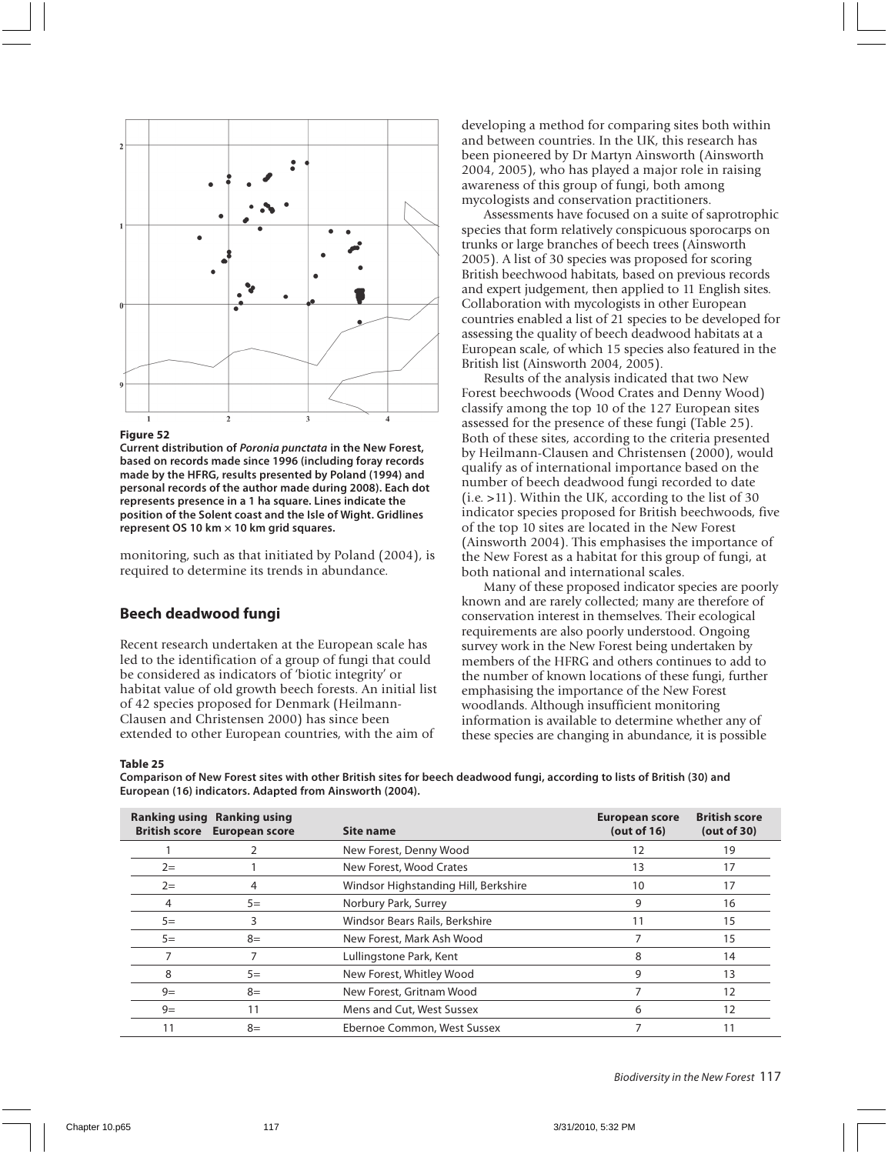

#### **Figure 52**

**Current distribution of Poronia punctata in the New Forest, based on records made since 1996 (including foray records made by the HFRG, results presented by Poland (1994) and personal records of the author made during 2008). Each dot represents presence in a 1 ha square. Lines indicate the position of the Solent coast and the Isle of Wight. Gridlines represent OS 10 km × 10 km grid squares.**

monitoring, such as that initiated by Poland (2004), is required to determine its trends in abundance.

#### **Beech deadwood fungi**

Recent research undertaken at the European scale has led to the identification of a group of fungi that could be considered as indicators of 'biotic integrity' or habitat value of old growth beech forests. An initial list of 42 species proposed for Denmark (Heilmann-Clausen and Christensen 2000) has since been extended to other European countries, with the aim of

developing a method for comparing sites both within and between countries. In the UK, this research has been pioneered by Dr Martyn Ainsworth (Ainsworth 2004, 2005), who has played a major role in raising awareness of this group of fungi, both among mycologists and conservation practitioners.

Assessments have focused on a suite of saprotrophic species that form relatively conspicuous sporocarps on trunks or large branches of beech trees (Ainsworth 2005). A list of 30 species was proposed for scoring British beechwood habitats, based on previous records and expert judgement, then applied to 11 English sites. Collaboration with mycologists in other European countries enabled a list of 21 species to be developed for assessing the quality of beech deadwood habitats at a European scale, of which 15 species also featured in the British list (Ainsworth 2004, 2005).

Results of the analysis indicated that two New Forest beechwoods (Wood Crates and Denny Wood) classify among the top 10 of the 127 European sites assessed for the presence of these fungi (Table 25). Both of these sites, according to the criteria presented by Heilmann-Clausen and Christensen (2000), would qualify as of international importance based on the number of beech deadwood fungi recorded to date  $(i.e. >11)$ . Within the UK, according to the list of 30 indicator species proposed for British beechwoods, five of the top 10 sites are located in the New Forest (Ainsworth 2004). This emphasises the importance of the New Forest as a habitat for this group of fungi, at both national and international scales.

Many of these proposed indicator species are poorly known and are rarely collected; many are therefore of conservation interest in themselves. Their ecological requirements are also poorly understood. Ongoing survey work in the New Forest being undertaken by members of the HFRG and others continues to add to the number of known locations of these fungi, further emphasising the importance of the New Forest woodlands. Although insufficient monitoring information is available to determine whether any of these species are changing in abundance, it is possible

#### **Table 25**

**Comparison of New Forest sites with other British sites for beech deadwood fungi, according to lists of British (30) and European (16) indicators. Adapted from Ainsworth (2004).**

| <b>Ranking using</b><br><b>British score</b> | <b>Ranking using</b><br><b>European score</b> | Site name                            | <b>European score</b><br>(out of $16$ ) | <b>British score</b><br>(out of $30$ ) |
|----------------------------------------------|-----------------------------------------------|--------------------------------------|-----------------------------------------|----------------------------------------|
|                                              |                                               | New Forest, Denny Wood               | 12                                      | 19                                     |
| $2=$                                         |                                               | New Forest, Wood Crates              | 13                                      | 17                                     |
| $2=$                                         | 4                                             | Windsor Highstanding Hill, Berkshire | 10                                      | 17                                     |
| 4                                            | $5=$                                          | Norbury Park, Surrey                 | 9                                       | 16                                     |
| $5=$                                         |                                               | Windsor Bears Rails, Berkshire       | 11                                      | 15                                     |
| $5=$                                         | $8=$                                          | New Forest, Mark Ash Wood            |                                         | 15                                     |
|                                              |                                               | Lullingstone Park, Kent              | 8                                       | 14                                     |
| 8                                            | $5=$                                          | New Forest, Whitley Wood             | 9                                       | 13                                     |
| $9=$                                         | $8=$                                          | New Forest, Gritnam Wood             |                                         | 12                                     |
| $9=$                                         | 11                                            | Mens and Cut, West Sussex            | 6                                       | 12                                     |
| 11                                           | $8=$                                          | Ebernoe Common, West Sussex          |                                         |                                        |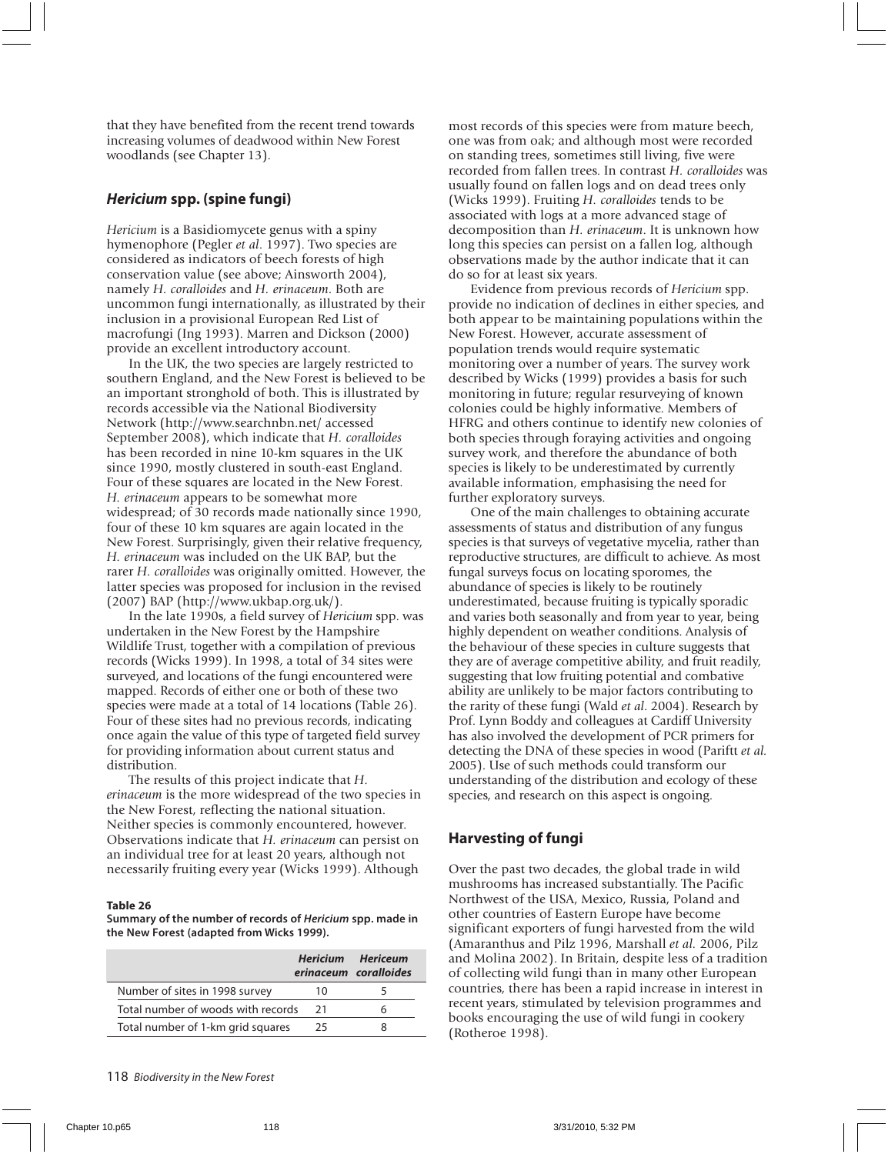that they have benefited from the recent trend towards increasing volumes of deadwood within New Forest woodlands (see Chapter 13).

#### **Hericium spp. (spine fungi)**

*Hericium* is a Basidiomycete genus with a spiny hymenophore (Pegler *et al*. 1997). Two species are considered as indicators of beech forests of high conservation value (see above; Ainsworth 2004), namely *H. coralloides* and *H. erinaceum*. Both are uncommon fungi internationally, as illustrated by their inclusion in a provisional European Red List of macrofungi (Ing 1993). Marren and Dickson (2000) provide an excellent introductory account.

In the UK, the two species are largely restricted to southern England, and the New Forest is believed to be an important stronghold of both. This is illustrated by records accessible via the National Biodiversity Network (http://www.searchnbn.net/ accessed September 2008), which indicate that *H. coralloides* has been recorded in nine 10-km squares in the UK since 1990, mostly clustered in south-east England. Four of these squares are located in the New Forest. *H. erinaceum* appears to be somewhat more widespread; of 30 records made nationally since 1990, four of these 10 km squares are again located in the New Forest. Surprisingly, given their relative frequency, *H. erinaceum* was included on the UK BAP, but the rarer *H. coralloides* was originally omitted. However, the latter species was proposed for inclusion in the revised (2007) BAP (http://www.ukbap.org.uk/).

In the late 1990s, a field survey of *Hericium* spp. was undertaken in the New Forest by the Hampshire Wildlife Trust, together with a compilation of previous records (Wicks 1999). In 1998, a total of 34 sites were surveyed, and locations of the fungi encountered were mapped. Records of either one or both of these two species were made at a total of 14 locations (Table 26). Four of these sites had no previous records, indicating once again the value of this type of targeted field survey for providing information about current status and distribution.

The results of this project indicate that *H. erinaceum* is the more widespread of the two species in the New Forest, reflecting the national situation. Neither species is commonly encountered, however. Observations indicate that *H. erinaceum* can persist on an individual tree for at least 20 years, although not necessarily fruiting every year (Wicks 1999). Although

#### **Table 26**

**Summary of the number of records of Hericium spp. made in the New Forest (adapted from Wicks 1999).**

|                                    |     | <b>Hericium Hericeum</b><br>erinaceum coralloides |
|------------------------------------|-----|---------------------------------------------------|
| Number of sites in 1998 survey     | 10  |                                                   |
| Total number of woods with records | -21 |                                                   |
| Total number of 1-km grid squares  | 25  |                                                   |
|                                    |     |                                                   |

most records of this species were from mature beech, one was from oak; and although most were recorded on standing trees, sometimes still living, five were recorded from fallen trees. In contrast *H. coralloides* was usually found on fallen logs and on dead trees only (Wicks 1999). Fruiting *H. coralloides* tends to be associated with logs at a more advanced stage of decomposition than *H. erinaceum*. It is unknown how long this species can persist on a fallen log, although observations made by the author indicate that it can do so for at least six years.

Evidence from previous records of *Hericium* spp. provide no indication of declines in either species, and both appear to be maintaining populations within the New Forest. However, accurate assessment of population trends would require systematic monitoring over a number of years. The survey work described by Wicks (1999) provides a basis for such monitoring in future; regular resurveying of known colonies could be highly informative. Members of HFRG and others continue to identify new colonies of both species through foraying activities and ongoing survey work, and therefore the abundance of both species is likely to be underestimated by currently available information, emphasising the need for further exploratory surveys.

One of the main challenges to obtaining accurate assessments of status and distribution of any fungus species is that surveys of vegetative mycelia, rather than reproductive structures, are difficult to achieve. As most fungal surveys focus on locating sporomes, the abundance of species is likely to be routinely underestimated, because fruiting is typically sporadic and varies both seasonally and from year to year, being highly dependent on weather conditions. Analysis of the behaviour of these species in culture suggests that they are of average competitive ability, and fruit readily, suggesting that low fruiting potential and combative ability are unlikely to be major factors contributing to the rarity of these fungi (Wald *et al*. 2004). Research by Prof. Lynn Boddy and colleagues at Cardiff University has also involved the development of PCR primers for detecting the DNA of these species in wood (Pariftt *et al.* 2005). Use of such methods could transform our understanding of the distribution and ecology of these species, and research on this aspect is ongoing.

#### **Harvesting of fungi**

Over the past two decades, the global trade in wild mushrooms has increased substantially. The Pacific Northwest of the USA, Mexico, Russia, Poland and other countries of Eastern Europe have become significant exporters of fungi harvested from the wild (Amaranthus and Pilz 1996, Marshall *et al.* 2006, Pilz and Molina 2002). In Britain, despite less of a tradition of collecting wild fungi than in many other European countries, there has been a rapid increase in interest in recent years, stimulated by television programmes and books encouraging the use of wild fungi in cookery (Rotheroe 1998).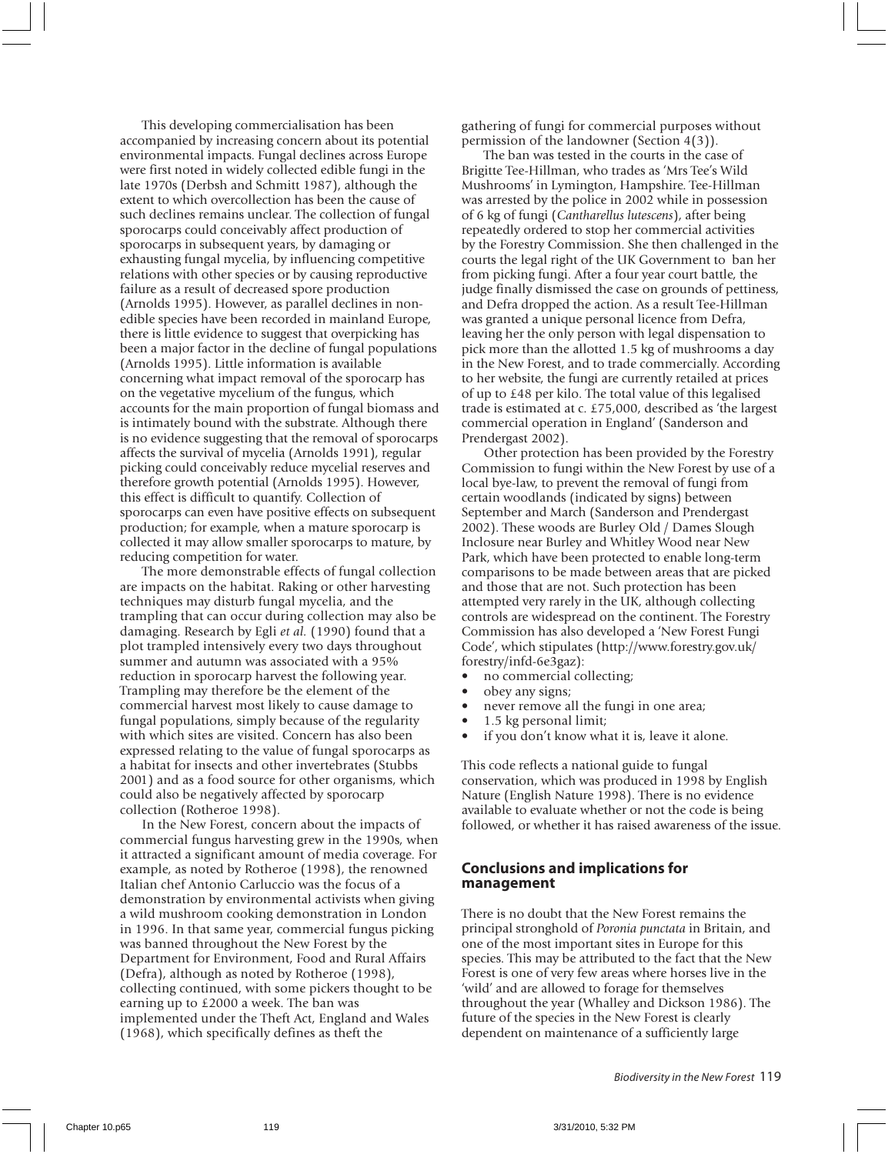This developing commercialisation has been accompanied by increasing concern about its potential environmental impacts. Fungal declines across Europe were first noted in widely collected edible fungi in the late 1970s (Derbsh and Schmitt 1987), although the extent to which overcollection has been the cause of such declines remains unclear. The collection of fungal sporocarps could conceivably affect production of sporocarps in subsequent years, by damaging or exhausting fungal mycelia, by influencing competitive relations with other species or by causing reproductive failure as a result of decreased spore production (Arnolds 1995). However, as parallel declines in nonedible species have been recorded in mainland Europe, there is little evidence to suggest that overpicking has been a major factor in the decline of fungal populations (Arnolds 1995). Little information is available concerning what impact removal of the sporocarp has on the vegetative mycelium of the fungus, which accounts for the main proportion of fungal biomass and is intimately bound with the substrate. Although there is no evidence suggesting that the removal of sporocarps affects the survival of mycelia (Arnolds 1991), regular picking could conceivably reduce mycelial reserves and therefore growth potential (Arnolds 1995). However, this effect is difficult to quantify. Collection of sporocarps can even have positive effects on subsequent production; for example, when a mature sporocarp is collected it may allow smaller sporocarps to mature, by reducing competition for water.

The more demonstrable effects of fungal collection are impacts on the habitat. Raking or other harvesting techniques may disturb fungal mycelia, and the trampling that can occur during collection may also be damaging. Research by Egli *et al.* (1990) found that a plot trampled intensively every two days throughout summer and autumn was associated with a 95% reduction in sporocarp harvest the following year. Trampling may therefore be the element of the commercial harvest most likely to cause damage to fungal populations, simply because of the regularity with which sites are visited. Concern has also been expressed relating to the value of fungal sporocarps as a habitat for insects and other invertebrates (Stubbs 2001) and as a food source for other organisms, which could also be negatively affected by sporocarp collection (Rotheroe 1998).

In the New Forest, concern about the impacts of commercial fungus harvesting grew in the 1990s, when it attracted a significant amount of media coverage. For example, as noted by Rotheroe (1998), the renowned Italian chef Antonio Carluccio was the focus of a demonstration by environmental activists when giving a wild mushroom cooking demonstration in London in 1996. In that same year, commercial fungus picking was banned throughout the New Forest by the Department for Environment, Food and Rural Affairs (Defra), although as noted by Rotheroe (1998), collecting continued, with some pickers thought to be earning up to £2000 a week. The ban was implemented under the Theft Act, England and Wales (1968), which specifically defines as theft the

gathering of fungi for commercial purposes without permission of the landowner (Section 4(3)).

The ban was tested in the courts in the case of Brigitte Tee-Hillman, who trades as 'Mrs Tee's Wild Mushrooms' in Lymington, Hampshire. Tee-Hillman was arrested by the police in 2002 while in possession of 6 kg of fungi (*Cantharellus lutescens*), after being repeatedly ordered to stop her commercial activities by the Forestry Commission. She then challenged in the courts the legal right of the UK Government to ban her from picking fungi. After a four year court battle, the judge finally dismissed the case on grounds of pettiness, and Defra dropped the action. As a result Tee-Hillman was granted a unique personal licence from Defra, leaving her the only person with legal dispensation to pick more than the allotted 1.5 kg of mushrooms a day in the New Forest, and to trade commercially. According to her website, the fungi are currently retailed at prices of up to £48 per kilo. The total value of this legalised trade is estimated at c. £75,000, described as 'the largest commercial operation in England' (Sanderson and Prendergast 2002).

Other protection has been provided by the Forestry Commission to fungi within the New Forest by use of a local bye-law, to prevent the removal of fungi from certain woodlands (indicated by signs) between September and March (Sanderson and Prendergast 2002). These woods are Burley Old / Dames Slough Inclosure near Burley and Whitley Wood near New Park, which have been protected to enable long-term comparisons to be made between areas that are picked and those that are not. Such protection has been attempted very rarely in the UK, although collecting controls are widespread on the continent. The Forestry Commission has also developed a 'New Forest Fungi Code', which stipulates (http://www.forestry.gov.uk/ forestry/infd-6e3gaz):

- no commercial collecting;
- obey any signs;
- never remove all the fungi in one area;
- 1.5 kg personal limit;
- if you don't know what it is, leave it alone.

This code reflects a national guide to fungal conservation, which was produced in 1998 by English Nature (English Nature 1998). There is no evidence available to evaluate whether or not the code is being followed, or whether it has raised awareness of the issue.

#### **Conclusions and implications for management**

There is no doubt that the New Forest remains the principal stronghold of *Poronia punctata* in Britain, and one of the most important sites in Europe for this species. This may be attributed to the fact that the New Forest is one of very few areas where horses live in the 'wild' and are allowed to forage for themselves throughout the year (Whalley and Dickson 1986). The future of the species in the New Forest is clearly dependent on maintenance of a sufficiently large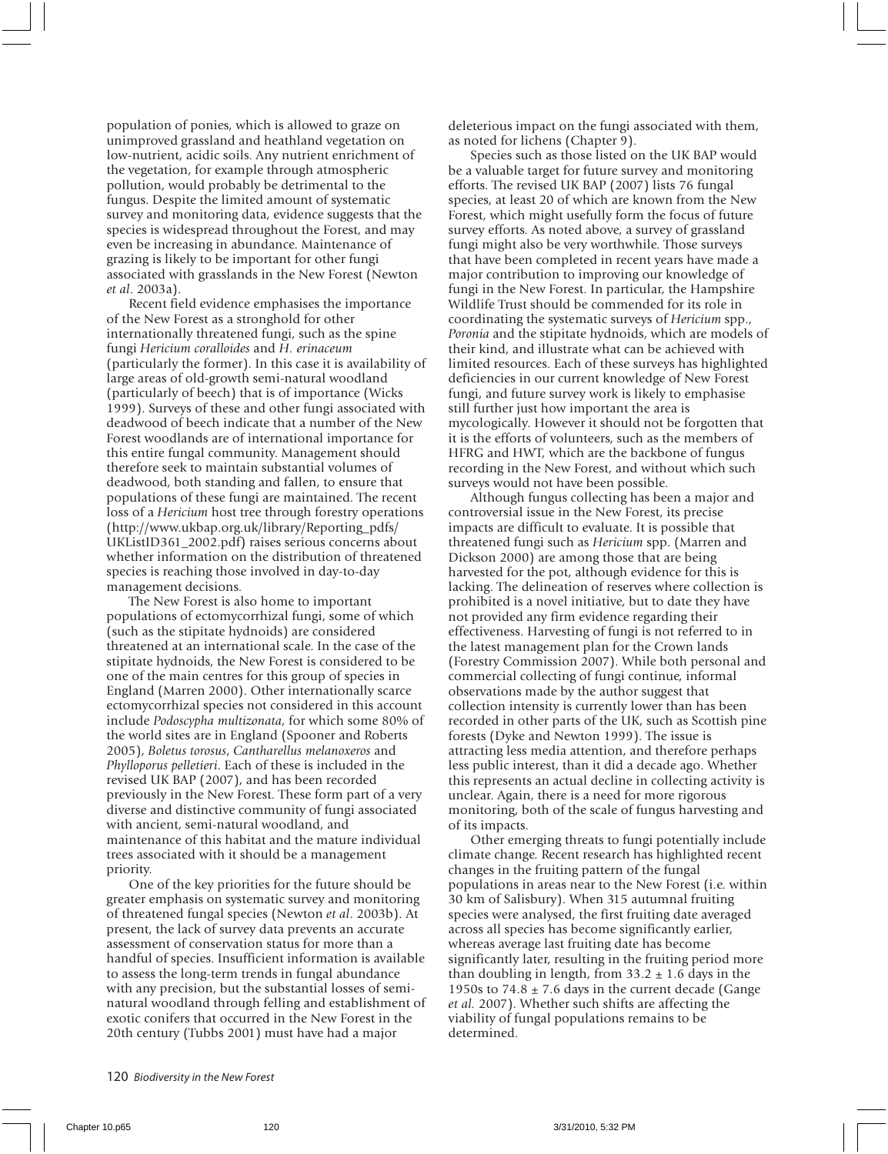population of ponies, which is allowed to graze on unimproved grassland and heathland vegetation on low-nutrient, acidic soils. Any nutrient enrichment of the vegetation, for example through atmospheric pollution, would probably be detrimental to the fungus. Despite the limited amount of systematic survey and monitoring data, evidence suggests that the species is widespread throughout the Forest, and may even be increasing in abundance. Maintenance of grazing is likely to be important for other fungi associated with grasslands in the New Forest (Newton *et al*. 2003a).

Recent field evidence emphasises the importance of the New Forest as a stronghold for other internationally threatened fungi, such as the spine fungi *Hericium coralloides* and *H. erinaceum* (particularly the former). In this case it is availability of large areas of old-growth semi-natural woodland (particularly of beech) that is of importance (Wicks 1999). Surveys of these and other fungi associated with deadwood of beech indicate that a number of the New Forest woodlands are of international importance for this entire fungal community. Management should therefore seek to maintain substantial volumes of deadwood, both standing and fallen, to ensure that populations of these fungi are maintained. The recent loss of a *Hericium* host tree through forestry operations (http://www.ukbap.org.uk/library/Reporting\_pdfs/ UKListID361\_2002.pdf) raises serious concerns about whether information on the distribution of threatened species is reaching those involved in day-to-day management decisions.

The New Forest is also home to important populations of ectomycorrhizal fungi, some of which (such as the stipitate hydnoids) are considered threatened at an international scale. In the case of the stipitate hydnoids, the New Forest is considered to be one of the main centres for this group of species in England (Marren 2000). Other internationally scarce ectomycorrhizal species not considered in this account include *Podoscypha multizonata*, for which some 80% of the world sites are in England (Spooner and Roberts 2005), *Boletus torosus*, *Cantharellus melanoxeros* and *Phylloporus pelletieri*. Each of these is included in the revised UK BAP (2007), and has been recorded previously in the New Forest. These form part of a very diverse and distinctive community of fungi associated with ancient, semi-natural woodland, and maintenance of this habitat and the mature individual trees associated with it should be a management priority.

One of the key priorities for the future should be greater emphasis on systematic survey and monitoring of threatened fungal species (Newton *et al*. 2003b). At present, the lack of survey data prevents an accurate assessment of conservation status for more than a handful of species. Insufficient information is available to assess the long-term trends in fungal abundance with any precision, but the substantial losses of seminatural woodland through felling and establishment of exotic conifers that occurred in the New Forest in the 20th century (Tubbs 2001) must have had a major

deleterious impact on the fungi associated with them, as noted for lichens (Chapter 9).

Species such as those listed on the UK BAP would be a valuable target for future survey and monitoring efforts. The revised UK BAP (2007) lists 76 fungal species, at least 20 of which are known from the New Forest, which might usefully form the focus of future survey efforts. As noted above, a survey of grassland fungi might also be very worthwhile. Those surveys that have been completed in recent years have made a major contribution to improving our knowledge of fungi in the New Forest. In particular, the Hampshire Wildlife Trust should be commended for its role in coordinating the systematic surveys of *Hericium* spp., *Poronia* and the stipitate hydnoids, which are models of their kind, and illustrate what can be achieved with limited resources. Each of these surveys has highlighted deficiencies in our current knowledge of New Forest fungi, and future survey work is likely to emphasise still further just how important the area is mycologically. However it should not be forgotten that it is the efforts of volunteers, such as the members of HFRG and HWT, which are the backbone of fungus recording in the New Forest, and without which such surveys would not have been possible.

Although fungus collecting has been a major and controversial issue in the New Forest, its precise impacts are difficult to evaluate. It is possible that threatened fungi such as *Hericium* spp. (Marren and Dickson 2000) are among those that are being harvested for the pot, although evidence for this is lacking. The delineation of reserves where collection is prohibited is a novel initiative, but to date they have not provided any firm evidence regarding their effectiveness. Harvesting of fungi is not referred to in the latest management plan for the Crown lands (Forestry Commission 2007). While both personal and commercial collecting of fungi continue, informal observations made by the author suggest that collection intensity is currently lower than has been recorded in other parts of the UK, such as Scottish pine forests (Dyke and Newton 1999). The issue is attracting less media attention, and therefore perhaps less public interest, than it did a decade ago. Whether this represents an actual decline in collecting activity is unclear. Again, there is a need for more rigorous monitoring, both of the scale of fungus harvesting and of its impacts.

Other emerging threats to fungi potentially include climate change. Recent research has highlighted recent changes in the fruiting pattern of the fungal populations in areas near to the New Forest (i.e. within 30 km of Salisbury). When 315 autumnal fruiting species were analysed, the first fruiting date averaged across all species has become significantly earlier, whereas average last fruiting date has become significantly later, resulting in the fruiting period more than doubling in length, from  $33.2 \pm 1.6$  days in the 1950s to  $74.8 \pm 7.6$  days in the current decade (Gange) *et al.* 2007). Whether such shifts are affecting the viability of fungal populations remains to be determined.